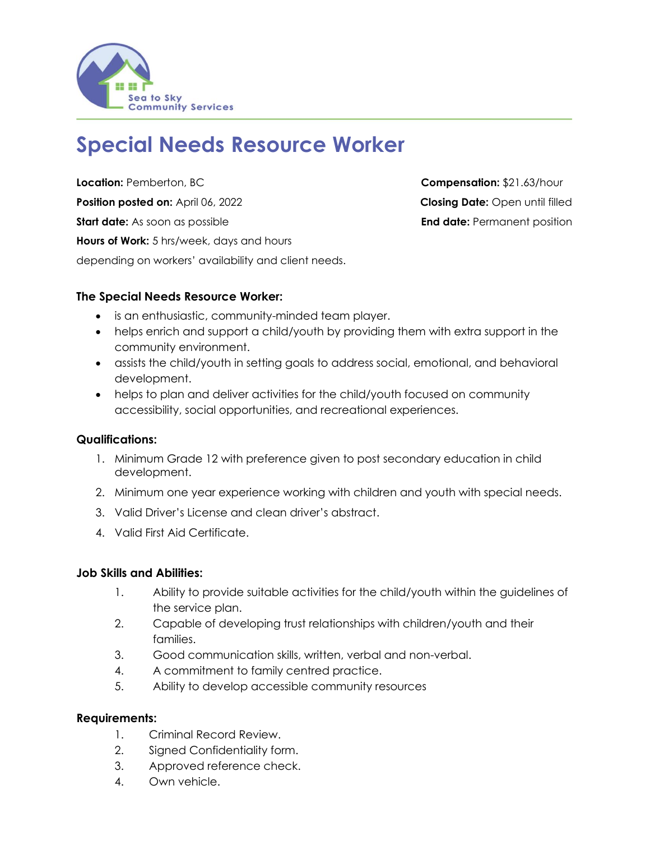

# **Special Needs Resource Worker**

**Location:** Pemberton, BC **Compensation:** \$21.63/hour **Position posted on:** April 06, 2022 **Closing Date:** Open until filled **Start date:** As soon as possible **End date:** Permanent position **Hours of Work:** 5 hrs/week, days and hours depending on workers' availability and client needs.

### **The Special Needs Resource Worker:**

- is an enthusiastic, community-minded team player.
- helps enrich and support a child/youth by providing them with extra support in the community environment.
- assists the child/youth in setting goals to address social, emotional, and behavioral development.
- helps to plan and deliver activities for the child/youth focused on community accessibility, social opportunities, and recreational experiences.

### **Qualifications:**

- 1. Minimum Grade 12 with preference given to post secondary education in child development.
- 2. Minimum one year experience working with children and youth with special needs.
- 3. Valid Driver's License and clean driver's abstract.
- 4. Valid First Aid Certificate.

### **Job Skills and Abilities:**

- 1. Ability to provide suitable activities for the child/youth within the guidelines of the service plan.
- 2. Capable of developing trust relationships with children/youth and their families.
- 3. Good communication skills, written, verbal and non-verbal.
- 4. A commitment to family centred practice.
- 5. Ability to develop accessible community resources

### **Requirements:**

- 1. Criminal Record Review.
- 2. Signed Confidentiality form.
- 3. Approved reference check.
- 4. Own vehicle.